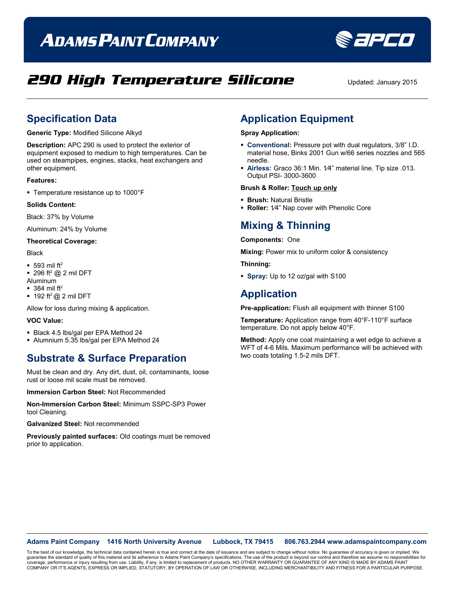# **ADAMS PAINT COMPANY**



## **290 High Temperature Silicone** Updated: January 2015

### **Specification Data**

**Generic Type:** Modified Silicone Alkyd

**Description:** APC 290 is used to protect the exterior of equipment exposed to medium to high temperatures. Can be used on steampipes, engines, stacks, heat exchangers and other equipment.

#### **Features:**

Temperature resistance up to 1000°F

#### **Solids Content:**

Black: 37% by Volume

Aluminum: 24% by Volume

#### **Theoretical Coverage:**

Black

- $-593$  mil ft<sup>2</sup>
- $\blacksquare$  296 ft<sup>2</sup> @ 2 mil DFT
- Aluminum
- $\blacksquare$  384 mil ft<sup>2</sup>  $\blacksquare$  192 ft<sup>2</sup> @ 2 mil DFT

Allow for loss during mixing & application.

#### **VOC Value:**

- Black 4.5 lbs/gal per EPA Method 24
- Alumnium 5.35 lbs/gal per EPA Method 24

### **Substrate & Surface Preparation**

Must be clean and dry. Any dirt, dust, oil, contaminants, loose rust or loose mil scale must be removed.

**Immersion Carbon Steel:** Not Recommended

**Non-Immersion Carbon Steel:** Minimum SSPC-SP3 Power tool Cleaning.

**Galvanized Steel:** Not recommended

**Previously painted surfaces:** Old coatings must be removed prior to application.

### **Application Equipment**

#### **Spray Application:**

- **Conventional:** Pressure pot with dual regulators, 3/8" I.D. material hose, Binks 2001 Gun w/66 series nozzles and 565 needle.
- **Airless:** Graco 36:1 Min. 1⁄4" material line. Tip size .013. Output PSI- 3000-3600

#### **Brush & Roller: Touch up only**

- **Brush:** Natural Bristle
- **Roller:** 1⁄4" Nap cover with Phenolic Core

### **Mixing & Thinning**

**Components:** One

**Mixing:** Power mix to uniform color & consistency

**Thinning:**

**Spray:** Up to 12 oz/gal with S100

### **Application**

**Pre-application:** Flush all equipment with thinner S100

**Temperature:** Application range from 40°F-110°F surface temperature. Do not apply below 40°F.

**Method:** Apply one coat maintaining a wet edge to achieve a WFT of 4-6 Mils. Maximum performance will be achieved with two coats totaling 1.5-2 mils DFT.

#### **Adams Paint Company 1416 North University Avenue Lubbock, TX 79415 806.763.2944 www.adamspaintcompany.com**

To the best of our knowledge, the technical data contained herein is true and correct at the date of issuance and are subject to change without notice. No guarantee of accuracy is given or implied. We<br>quarantee the standar guarantee the standard of quality of this material and its adherence to Adams Paint Company's specifications. The use of the product is beyond our control and therefore we ass coverage, performance or injury resulting from use. Liability, if any, is limited to replacement of products. NO OTHER WARRANTY OR GUARANTEE OF ANY KIND IS MADE BY ADAMS PAINT<br>COMPANY OR IT'S AGENTS, EXPRESS OR IMPLIED, ST